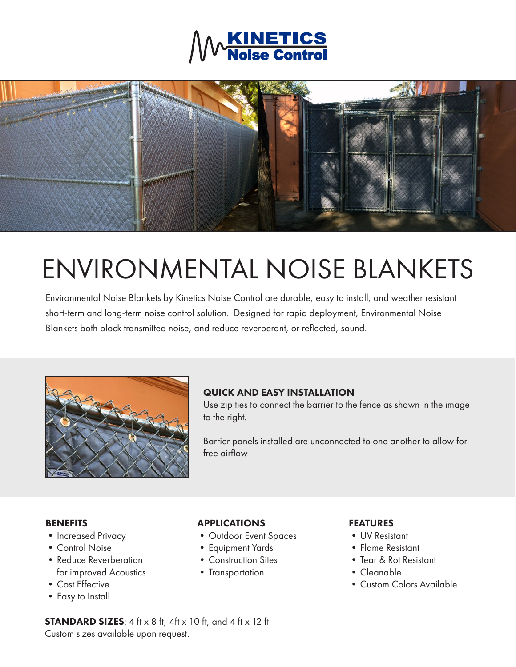



# ENVIRONMENTAL NOISE BLANKETS

Environmental Noise Blankets by Kinetics Noise Control are durable, easy to install, and weather resistant short-term and long-term noise control solution. Designed for rapid deployment, Environmental Noise Blankets both block transmitted noise, and reduce reverberant, or reflected, sound.



## QUICK AND EASY INSTALLATION

Use zip ties to connect the barrier to the fence as shown in the image to the right.

Barrier panels installed are unconnected to one another to allow for free airflow

### **BENEFITS**

- Increased Privacy
- •Control Noise
- Reduce Reverberation for improved Acoustics
- •Cost Effective
- •Easy to Install

## APPLICATIONS

- •Outdoor Event Spaces
- •Equipment Yards
- •Construction Sites
- Transportation

## FEATURES

- •UV Resistant
- •Flame Resistant
- •Tear & Rot Resistant
- •Cleanable
- •Custom Colors Available

**STANDARD SIZES:**  $4$  ft  $\times$  8 ft,  $4$ ft  $\times$  10 ft, and  $4$  ft  $\times$  12 ft Custom sizes available upon request.